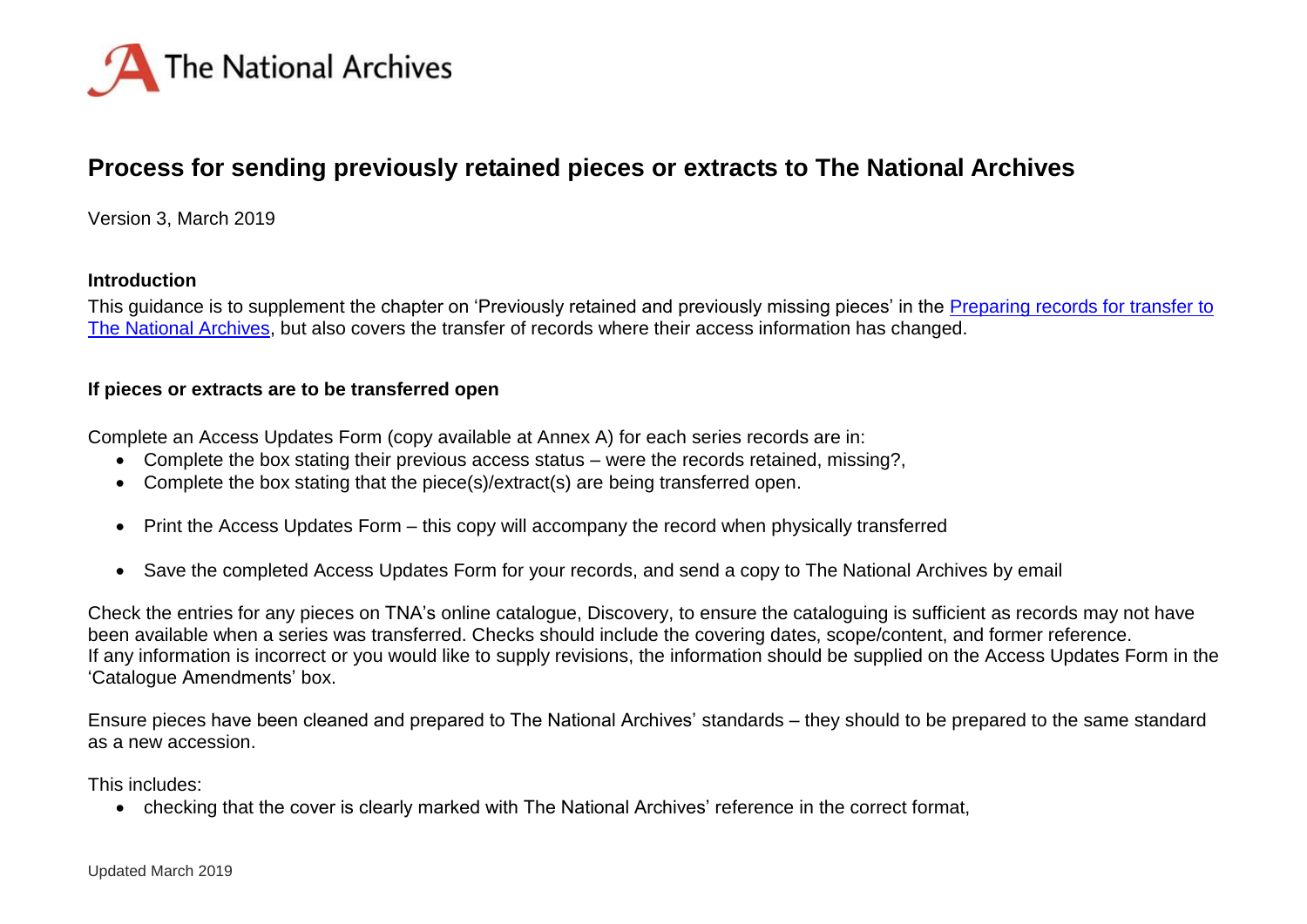

# **Process for sending previously retained pieces or extracts to The National Archives**

Version 3, March 2019

#### **Introduction**

This guidance is to supplement the chapter on 'Previously retained and previously missing pieces' in the [Preparing records for transfer to](http://www.nationalarchives.gov.uk/documents/information-management/preparing-records-for-transfer-to-the-national-archives.pdf)  [The National Archives,](http://www.nationalarchives.gov.uk/documents/information-management/preparing-records-for-transfer-to-the-national-archives.pdf) but also covers the transfer of records where their access information has changed.

### **If pieces or extracts are to be transferred open**

Complete an Access Updates Form (copy available at Annex A) for each series records are in:

- Complete the box stating their previous access status were the records retained, missing?,
- Complete the box stating that the piece(s)/extract(s) are being transferred open.
- Print the Access Updates Form this copy will accompany the record when physically transferred
- Save the completed Access Updates Form for your records, and send a copy to The National Archives by email

Check the entries for any pieces on TNA's online catalogue, Discovery, to ensure the cataloguing is sufficient as records may not have been available when a series was transferred. Checks should include the covering dates, scope/content, and former reference. If any information is incorrect or you would like to supply revisions, the information should be supplied on the Access Updates Form in the 'Catalogue Amendments' box.

Ensure pieces have been cleaned and prepared to The National Archives' standards – they should to be prepared to the same standard as a new accession.

This includes:

checking that the cover is clearly marked with The National Archives' reference in the correct format,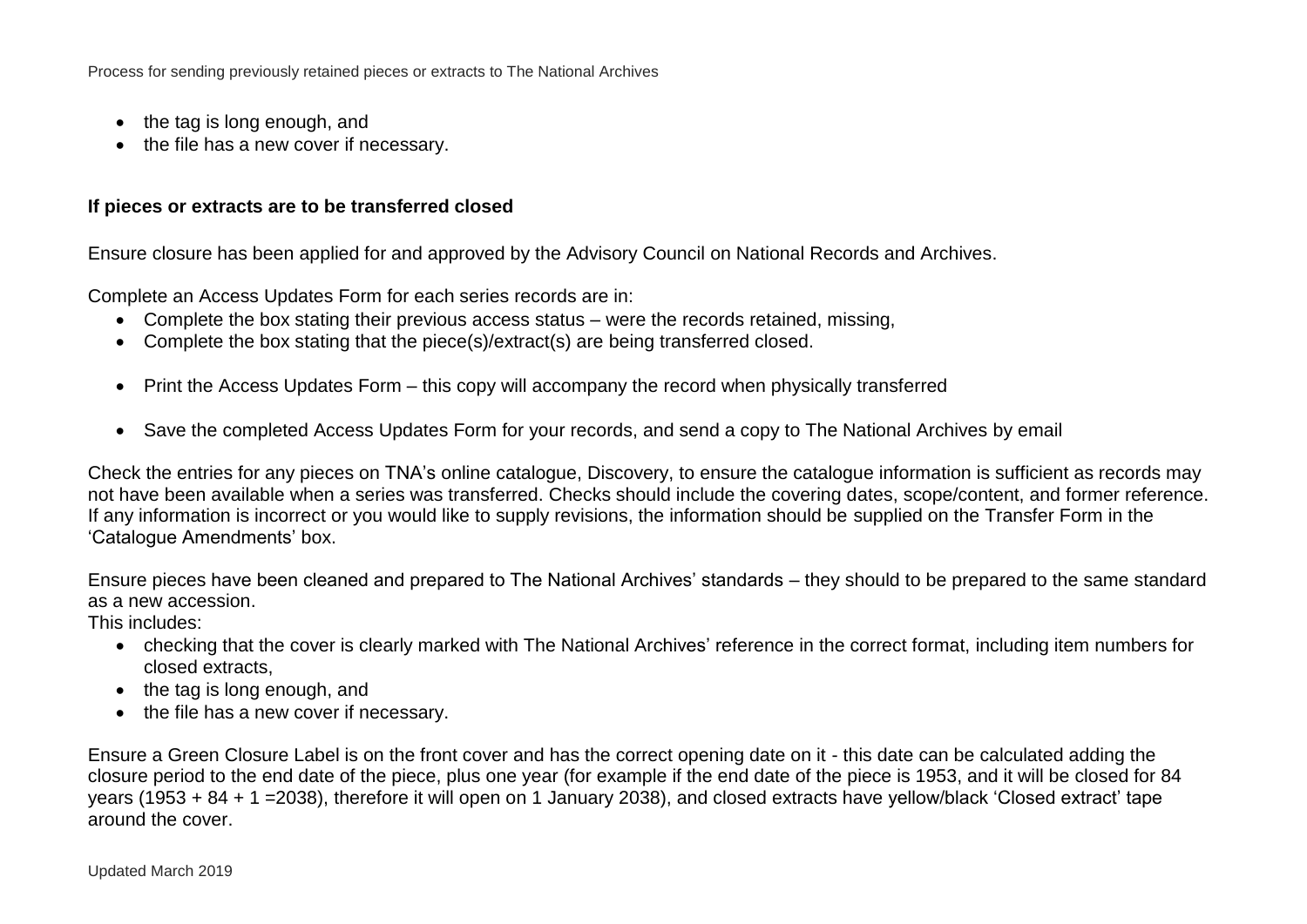Process for sending previously retained pieces or extracts to The National Archives

- the tag is long enough, and
- the file has a new cover if necessary.

### **If pieces or extracts are to be transferred closed**

Ensure closure has been applied for and approved by the Advisory Council on National Records and Archives.

Complete an Access Updates Form for each series records are in:

- Complete the box stating their previous access status were the records retained, missing,
- Complete the box stating that the piece(s)/extract(s) are being transferred closed.
- Print the Access Updates Form this copy will accompany the record when physically transferred
- Save the completed Access Updates Form for your records, and send a copy to The National Archives by email

Check the entries for any pieces on TNA's online catalogue, Discovery, to ensure the catalogue information is sufficient as records may not have been available when a series was transferred. Checks should include the covering dates, scope/content, and former reference. If any information is incorrect or you would like to supply revisions, the information should be supplied on the Transfer Form in the 'Catalogue Amendments' box.

Ensure pieces have been cleaned and prepared to The National Archives' standards – they should to be prepared to the same standard as a new accession.

This includes:

- checking that the cover is clearly marked with The National Archives' reference in the correct format, including item numbers for closed extracts,
- $\bullet$  the tag is long enough, and
- the file has a new cover if necessary.

Ensure a Green Closure Label is on the front cover and has the correct opening date on it - this date can be calculated adding the closure period to the end date of the piece, plus one year (for example if the end date of the piece is 1953, and it will be closed for 84 years (1953 + 84 + 1 =2038), therefore it will open on 1 January 2038), and closed extracts have yellow/black 'Closed extract' tape around the cover.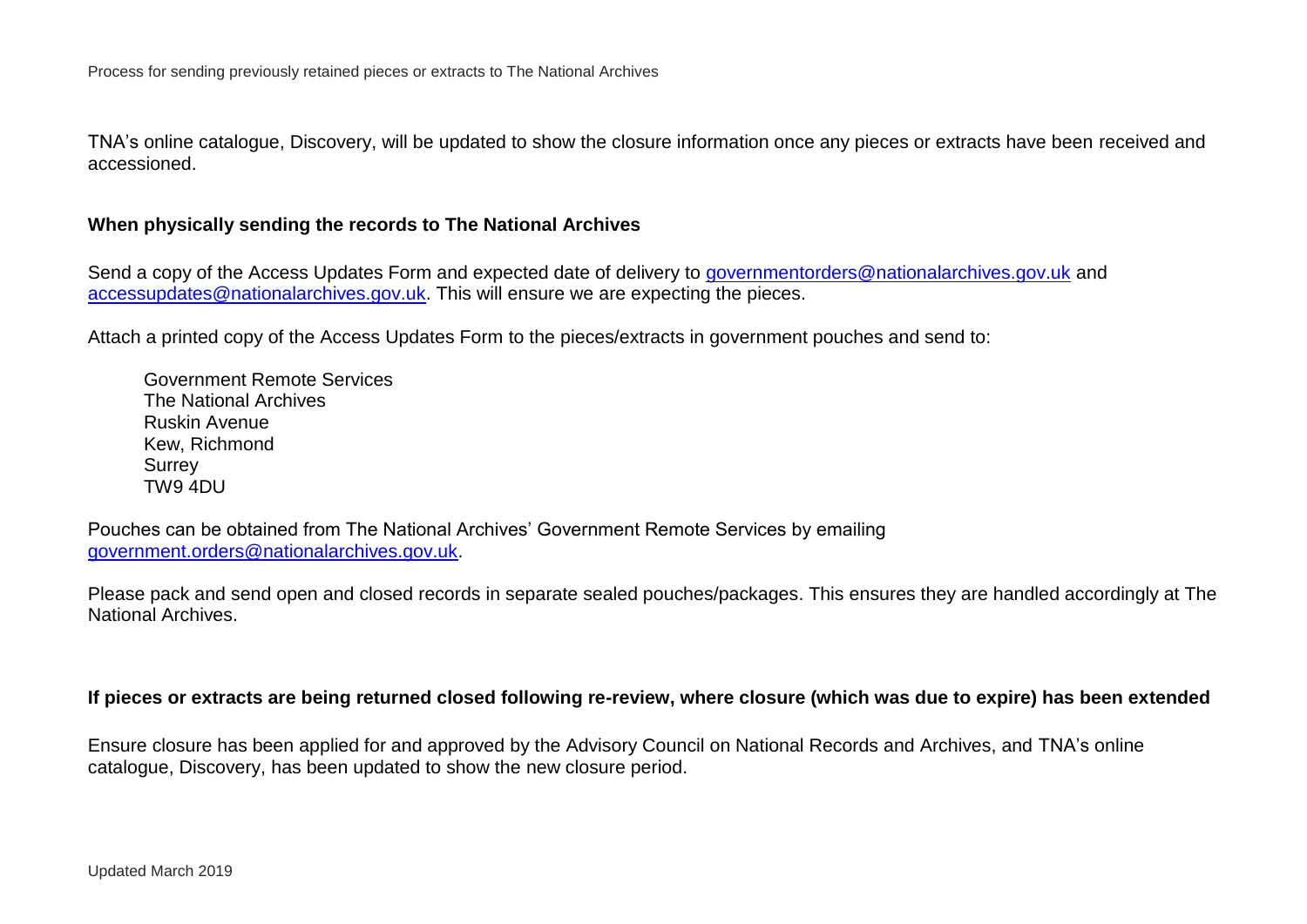TNA's online catalogue, Discovery, will be updated to show the closure information once any pieces or extracts have been received and accessioned.

### **When physically sending the records to The National Archives**

Send a copy of the Access Updates Form and expected date of delivery to [governmentorders@nationalarchives.gov.uk](mailto:governmentorders@nationalarchives.gov.uk) and [accessupdates@nationalarchives.gov.uk.](mailto:accessupdates@nationalarchives.gov.uk) This will ensure we are expecting the pieces.

Attach a printed copy of the Access Updates Form to the pieces/extracts in government pouches and send to:

Government Remote Services The National Archives Ruskin Avenue Kew, Richmond **Surrey** TW9 4DU

Pouches can be obtained from The National Archives' Government Remote Services by emailing [government.orders@nationalarchives.gov.uk.](mailto:government.orders@nationalarchives.gov.uk)

Please pack and send open and closed records in separate sealed pouches/packages. This ensures they are handled accordingly at The National Archives.

#### **If pieces or extracts are being returned closed following re-review, where closure (which was due to expire) has been extended**

Ensure closure has been applied for and approved by the Advisory Council on National Records and Archives, and TNA's online catalogue, Discovery, has been updated to show the new closure period.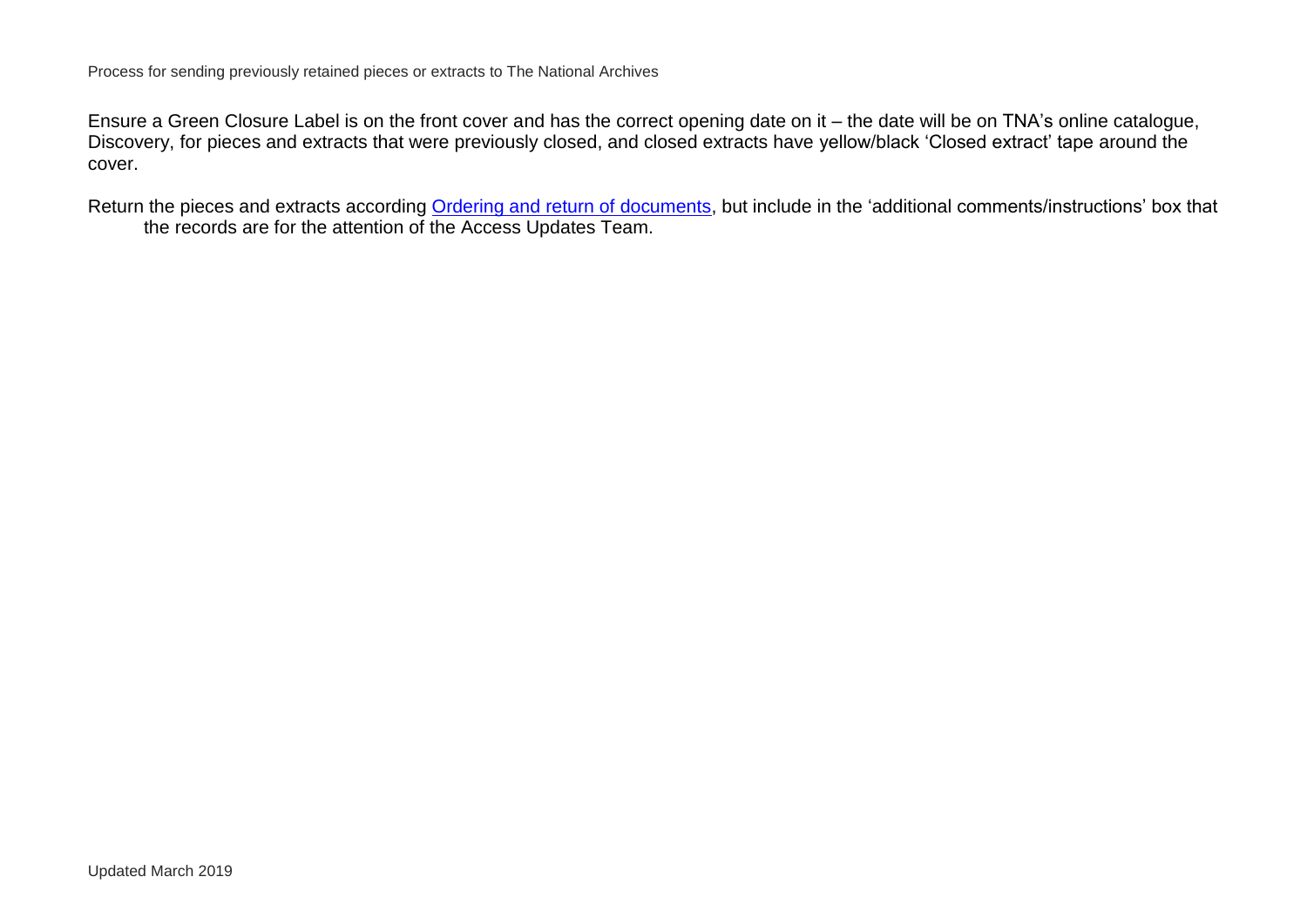Ensure a Green Closure Label is on the front cover and has the correct opening date on it – the date will be on TNA's online catalogue, Discovery, for pieces and extracts that were previously closed, and closed extracts have yellow/black 'Closed extract' tape around the cover.

Return the pieces and extracts according [Ordering and return of documents,](http://www.nationalarchives.gov.uk/documents/information-management/ordering-and-return-of-documents-procedures.pdf) but include in the 'additional comments/instructions' box that the records are for the attention of the Access Updates Team.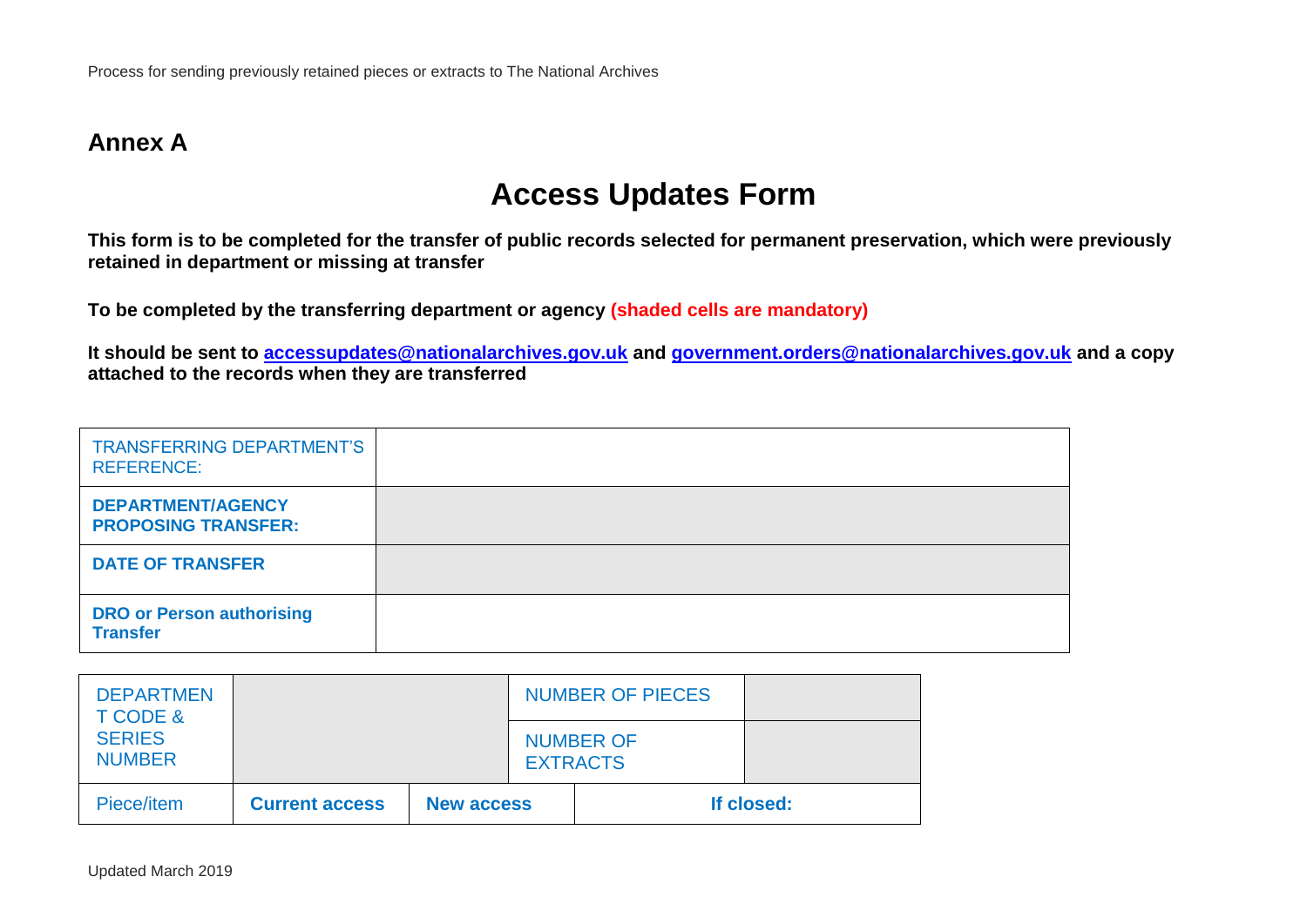# **Annex A**

# **Access Updates Form**

**This form is to be completed for the transfer of public records selected for permanent preservation, which were previously retained in department or missing at transfer**

**To be completed by the transferring department or agency (shaded cells are mandatory)**

**It should be sent to [accessupdates@nationalarchives.gov.uk](mailto:accessupdates@nationalarchives.gov.uk) and [government.orders@nationalarchives.gov.uk](mailto:government.orders@nationalarchives.gov.uk) and a copy attached to the records when they are transferred**

| <b>TRANSFERRING DEPARTMENT'S</b><br><b>REFERENCE:</b>  |  |
|--------------------------------------------------------|--|
| <b>DEPARTMENT/AGENCY</b><br><b>PROPOSING TRANSFER:</b> |  |
| <b>DATE OF TRANSFER</b>                                |  |
| <b>DRO or Person authorising</b><br><b>Transfer</b>    |  |

| <b>DEPARTMEN</b><br>T CODE &   |                       |                   |                 | <b>NUMBER OF PIECES</b> |            |
|--------------------------------|-----------------------|-------------------|-----------------|-------------------------|------------|
| <b>SERIES</b><br><b>NUMBER</b> |                       |                   | <b>EXTRACTS</b> | <b>NUMBER OF</b>        |            |
| Piece/item                     | <b>Current access</b> | <b>New access</b> |                 |                         | If closed: |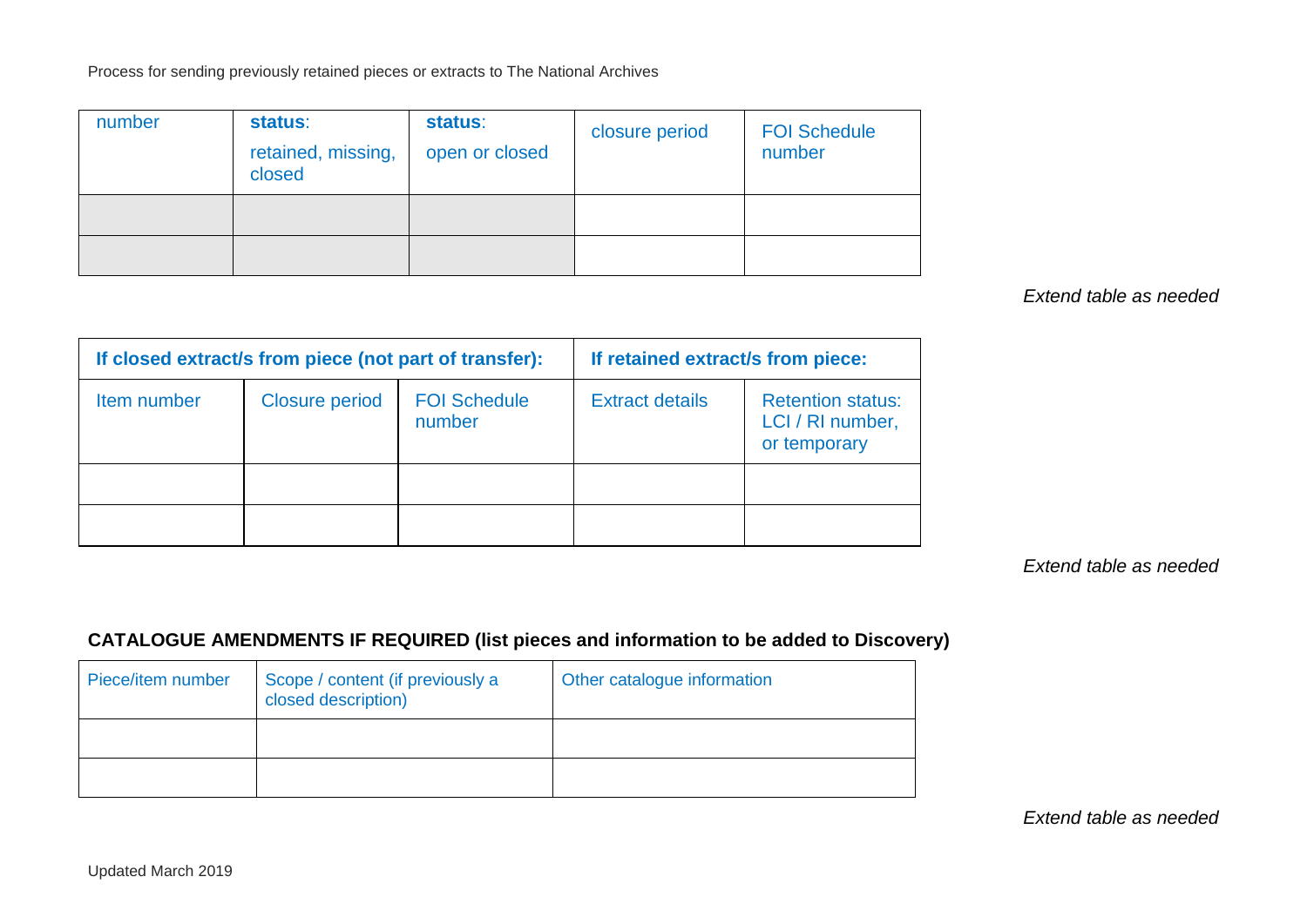Process for sending previously retained pieces or extracts to The National Archives

| number | status:<br>retained, missing,<br>closed | status:<br>open or closed | closure period | <b>FOI Schedule</b><br>number |
|--------|-----------------------------------------|---------------------------|----------------|-------------------------------|
|        |                                         |                           |                |                               |
|        |                                         |                           |                |                               |

### *Extend table as needed*

| If closed extract/s from piece (not part of transfer): |                       | If retained extract/s from piece: |                        |                                                              |
|--------------------------------------------------------|-----------------------|-----------------------------------|------------------------|--------------------------------------------------------------|
| Item number                                            | <b>Closure period</b> | <b>FOI Schedule</b><br>number     | <b>Extract details</b> | <b>Retention status:</b><br>LCI / RI number,<br>or temporary |
|                                                        |                       |                                   |                        |                                                              |
|                                                        |                       |                                   |                        |                                                              |

*Extend table as needed*

# **CATALOGUE AMENDMENTS IF REQUIRED (list pieces and information to be added to Discovery)**

| Piece/item number | Scope / content (if previously a<br>closed description) | Other catalogue information |
|-------------------|---------------------------------------------------------|-----------------------------|
|                   |                                                         |                             |
|                   |                                                         |                             |

*Extend table as needed*